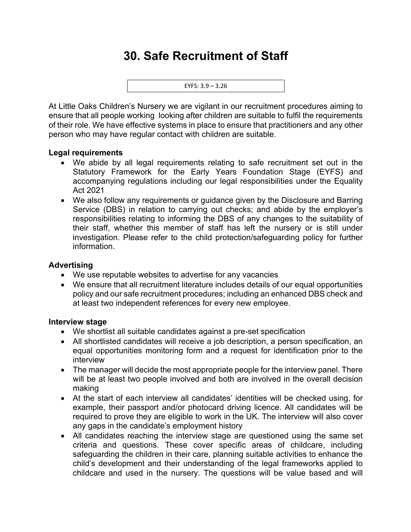# **30. Safe Recruitment of Staff**

EYFS: 3.9 – 3.26

At Little Oaks Children's Nursery we are vigilant in our recruitment procedures aiming to ensure that all people working looking after children are suitable to fulfil the requirements of their role. We have effective systems in place to ensure that practitioners and any other person who may have regular contact with children are suitable.

#### **Legal requirements**

- We abide by all legal requirements relating to safe recruitment set out in the Statutory Framework for the Early Years Foundation Stage (EYFS) and accompanying regulations including our legal responsibilities under the Equality Act 2021
- We also follow any requirements or guidance given by the Disclosure and Barring Service (DBS) in relation to carrying out checks; and abide by the employer's responsibilities relating to informing the DBS of any changes to the suitability of their staff, whether this member of staff has left the nursery or is still under investigation. Please refer to the child protection/safeguarding policy for further information.

### **Advertising**

- We use reputable websites to advertise for any vacancies
- We ensure that all recruitment literature includes details of our equal opportunities policy and our safe recruitment procedures; including an enhanced DBS check and at least two independent references for every new employee.

#### **Interview stage**

- We shortlist all suitable candidates against a pre-set specification
- All shortlisted candidates will receive a job description, a person specification, an equal opportunities monitoring form and a request for identification prior to the interview
- The manager will decide the most appropriate people for the interview panel. There will be at least two people involved and both are involved in the overall decision making
- At the start of each interview all candidates' identities will be checked using, for example, their passport and/or photocard driving licence. All candidates will be required to prove they are eligible to work in the UK. The interview will also cover any gaps in the candidate's employment history
- All candidates reaching the interview stage are questioned using the same set criteria and questions. These cover specific areas of childcare, including safeguarding the children in their care, planning suitable activities to enhance the child's development and their understanding of the legal frameworks applied to childcare and used in the nursery. The questions will be value based and will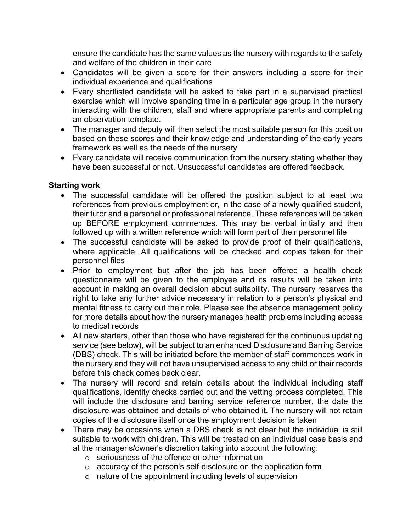ensure the candidate has the same values as the nursery with regards to the safety and welfare of the children in their care

- Candidates will be given a score for their answers including a score for their individual experience and qualifications
- Every shortlisted candidate will be asked to take part in a supervised practical exercise which will involve spending time in a particular age group in the nursery interacting with the children, staff and where appropriate parents and completing an observation template.
- The manager and deputy will then select the most suitable person for this position based on these scores and their knowledge and understanding of the early years framework as well as the needs of the nursery
- Every candidate will receive communication from the nursery stating whether they have been successful or not. Unsuccessful candidates are offered feedback.

## **Starting work**

- The successful candidate will be offered the position subject to at least two references from previous employment or, in the case of a newly qualified student, their tutor and a personal or professional reference. These references will be taken up BEFORE employment commences. This may be verbal initially and then followed up with a written reference which will form part of their personnel file
- The successful candidate will be asked to provide proof of their qualifications, where applicable. All qualifications will be checked and copies taken for their personnel files
- Prior to employment but after the job has been offered a health check questionnaire will be given to the employee and its results will be taken into account in making an overall decision about suitability. The nursery reserves the right to take any further advice necessary in relation to a person's physical and mental fitness to carry out their role. Please see the absence management policy for more details about how the nursery manages health problems including access to medical records
- All new starters, other than those who have registered for the continuous updating service (see below), will be subject to an enhanced Disclosure and Barring Service (DBS) check. This will be initiated before the member of staff commences work in the nursery and they will not have unsupervised access to any child or their records before this check comes back clear.
- The nursery will record and retain details about the individual including staff qualifications, identity checks carried out and the vetting process completed. This will include the disclosure and barring service reference number, the date the disclosure was obtained and details of who obtained it. The nursery will not retain copies of the disclosure itself once the employment decision is taken
- There may be occasions when a DBS check is not clear but the individual is still suitable to work with children. This will be treated on an individual case basis and at the manager's/owner's discretion taking into account the following:
	- o seriousness of the offence or other information
	- o accuracy of the person's self-disclosure on the application form
	- o nature of the appointment including levels of supervision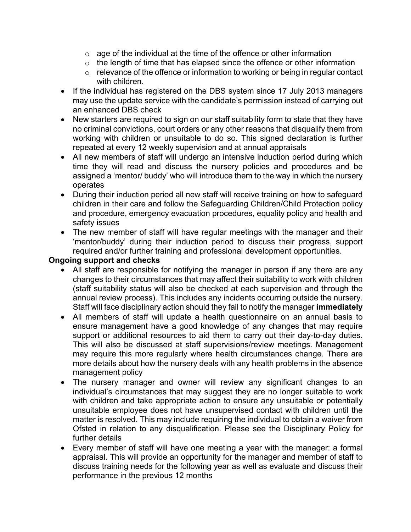- $\circ$  age of the individual at the time of the offence or other information
- $\circ$  the length of time that has elapsed since the offence or other information
- $\circ$  relevance of the offence or information to working or being in regular contact with children.
- If the individual has registered on the DBS system since 17 July 2013 managers may use the update service with the candidate's permission instead of carrying out an enhanced DBS check
- New starters are required to sign on our staff suitability form to state that they have no criminal convictions, court orders or any other reasons that disqualify them from working with children or unsuitable to do so. This signed declaration is further repeated at every 12 weekly supervision and at annual appraisals
- All new members of staff will undergo an intensive induction period during which time they will read and discuss the nursery policies and procedures and be assigned a 'mentor/ buddy' who will introduce them to the way in which the nursery operates
- During their induction period all new staff will receive training on how to safeguard children in their care and follow the Safeguarding Children/Child Protection policy and procedure, emergency evacuation procedures, equality policy and health and safety issues
- The new member of staff will have regular meetings with the manager and their 'mentor/buddy' during their induction period to discuss their progress, support required and/or further training and professional development opportunities.

## **Ongoing support and checks**

- All staff are responsible for notifying the manager in person if any there are any changes to their circumstances that may affect their suitability to work with children (staff suitability status will also be checked at each supervision and through the annual review process). This includes any incidents occurring outside the nursery. Staff will face disciplinary action should they fail to notify the manager **immediately**
- All members of staff will update a health questionnaire on an annual basis to ensure management have a good knowledge of any changes that may require support or additional resources to aid them to carry out their day-to-day duties. This will also be discussed at staff supervisions/review meetings. Management may require this more regularly where health circumstances change. There are more details about how the nursery deals with any health problems in the absence management policy
- The nursery manager and owner will review any significant changes to an individual's circumstances that may suggest they are no longer suitable to work with children and take appropriate action to ensure any unsuitable or potentially unsuitable employee does not have unsupervised contact with children until the matter is resolved. This may include requiring the individual to obtain a waiver from Ofsted in relation to any disqualification. Please see the Disciplinary Policy for further details
- Every member of staff will have one meeting a year with the manager: a formal appraisal. This will provide an opportunity for the manager and member of staff to discuss training needs for the following year as well as evaluate and discuss their performance in the previous 12 months